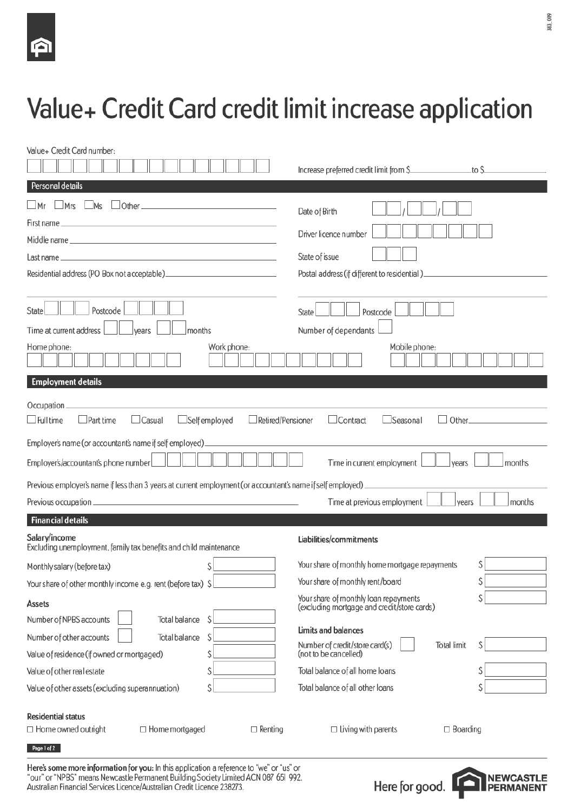# Value+ Credit Card credit limit increase application

| Value+ Credit Card number:                                                                                                                                                                                                                                       |                                                                                                                                                                                               |
|------------------------------------------------------------------------------------------------------------------------------------------------------------------------------------------------------------------------------------------------------------------|-----------------------------------------------------------------------------------------------------------------------------------------------------------------------------------------------|
|                                                                                                                                                                                                                                                                  | Increase preferred credit limit from \$<br>to S                                                                                                                                               |
| Personal details                                                                                                                                                                                                                                                 |                                                                                                                                                                                               |
| Mrs<br>Ms<br>__Mr                                                                                                                                                                                                                                                | Date of Birth                                                                                                                                                                                 |
|                                                                                                                                                                                                                                                                  |                                                                                                                                                                                               |
|                                                                                                                                                                                                                                                                  | Driver licence number                                                                                                                                                                         |
|                                                                                                                                                                                                                                                                  | State of issue                                                                                                                                                                                |
|                                                                                                                                                                                                                                                                  | Postal address (if different to residential) ___________________________________                                                                                                              |
| Postcode<br>State<br>Time at current address<br>months<br>vears<br>Home phone:<br>Work phone:<br><b>Employment details</b><br>Occupation_                                                                                                                        | Postcode<br>State<br>Number of dependants<br>Mobile phone:                                                                                                                                    |
| $\Box$ Full time<br>$\Box$ Self employed<br>Part time<br>$\Box$ Casual                                                                                                                                                                                           | Retired/Pensioner<br>$\Box$ Contract<br>Other_<br>$\Box$ Seasonal                                                                                                                             |
| Employer's name (or accountant's name if self employed).<br>Employer's/accountant's phone number<br>Previous employer's name if less than 3 years at current employment (or accountant's name if self employed)                                                  | Time in current employment<br>months<br>vears<br>Time at previous employment<br>months<br>years                                                                                               |
| <b>Financial details</b>                                                                                                                                                                                                                                         |                                                                                                                                                                                               |
| Salary/income<br>Excluding unemployment, family tax benefits and child maintenance                                                                                                                                                                               | Liabilities/commitments                                                                                                                                                                       |
| Ŝ<br>Monthly salary (before tax)                                                                                                                                                                                                                                 | Your share of monthly home mortgage repayments<br>S                                                                                                                                           |
| Your share of other monthly income e.g. rent (before tax) \$                                                                                                                                                                                                     | Your share of monthly rent/board<br>\$                                                                                                                                                        |
| <b>Assets</b>                                                                                                                                                                                                                                                    | \$<br>Your share of monthly loan repayments<br>(excluding mortgage and credit/store cards)                                                                                                    |
| Number of NPBS accounts<br><b>Total balance</b><br>S<br>\$<br>Number of other accounts<br><b>Total balance</b><br>\$<br>Value of residence (if owned or mortgaged)<br>\$<br>Value of other real estate<br>\$<br>Value of other assets (excluding superannuation) | <b>Limits and balances</b><br>Number of credit/store card(s)<br>Ŝ<br><b>Total limit</b><br>(not to be cancelled)<br>Total balance of all home loans<br>\$<br>Total balance of all other loans |
| <b>Residential status</b><br>$\Box$ Home owned outright<br>$\Box$ Home mortgaged<br>$\Box$ Renting                                                                                                                                                               | $\Box$ Living with parents<br>$\Box$ Boarding                                                                                                                                                 |
| Page 1 of 2                                                                                                                                                                                                                                                      |                                                                                                                                                                                               |

Here's some more information for you: In this application a reference to "we" or "us" or "our" or "NPBS" means Newcastle Permanent Building Society Limited ACN 087 651 992.<br>Australian Financial Services Licence/Australian Credit Licence 238273.